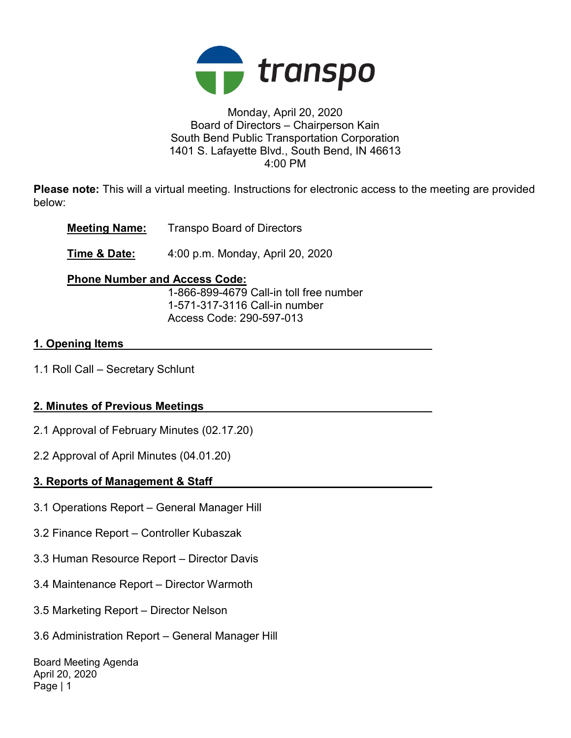

### Monday, April 20, 2020 Board of Directors – Chairperson Kain South Bend Public Transportation Corporation 1401 S. Lafayette Blvd., South Bend, IN 46613 4:00 PM

Please note: This will a virtual meeting. Instructions for electronic access to the meeting are provided below:

Meeting Name: Transpo Board of Directors

**Time & Date:** 4:00 p.m. Monday, April 20, 2020

## Phone Number and Access Code:

 1-866-899-4679 Call-in toll free number 1-571-317-3116 Call-in number Access Code: 290-597-013

## 1. Opening Items

1.1 Roll Call – Secretary Schlunt

# 2. Minutes of Previous Meetings

- 2.1 Approval of February Minutes (02.17.20)
- 2.2 Approval of April Minutes (04.01.20)

### 3. Reports of Management & Staff

- 3.1 Operations Report General Manager Hill
- 3.2 Finance Report Controller Kubaszak
- 3.3 Human Resource Report Director Davis
- 3.4 Maintenance Report Director Warmoth
- 3.5 Marketing Report Director Nelson
- 3.6 Administration Report General Manager Hill

Board Meeting Agenda April 20, 2020 Page | 1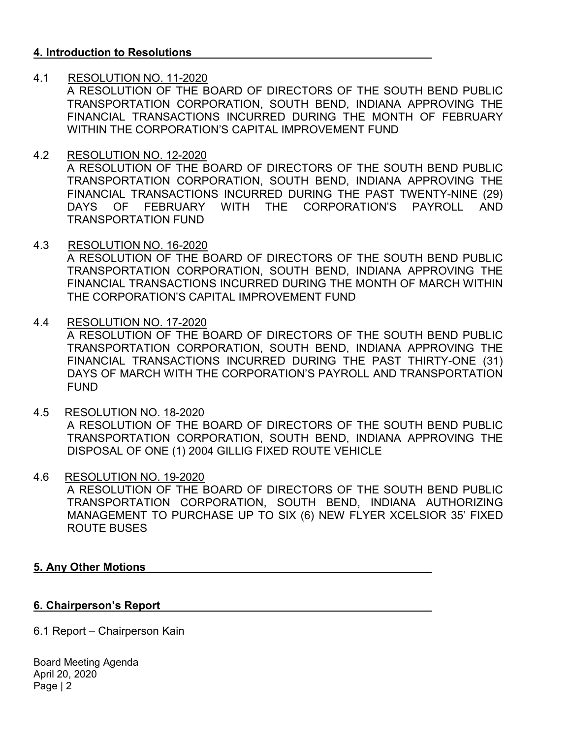### 4. Introduction to Resolutions

### 4.1 RESOLUTION NO. 11-2020

A RESOLUTION OF THE BOARD OF DIRECTORS OF THE SOUTH BEND PUBLIC TRANSPORTATION CORPORATION, SOUTH BEND, INDIANA APPROVING THE FINANCIAL TRANSACTIONS INCURRED DURING THE MONTH OF FEBRUARY WITHIN THE CORPORATION'S CAPITAL IMPROVEMENT FUND

### 4.2 RESOLUTION NO. 12-2020

A RESOLUTION OF THE BOARD OF DIRECTORS OF THE SOUTH BEND PUBLIC TRANSPORTATION CORPORATION, SOUTH BEND, INDIANA APPROVING THE FINANCIAL TRANSACTIONS INCURRED DURING THE PAST TWENTY-NINE (29) DAYS OF FEBRUARY WITH THE CORPORATION'S PAYROLL AND TRANSPORTATION FUND

#### 4.3 RESOLUTION NO. 16-2020

A RESOLUTION OF THE BOARD OF DIRECTORS OF THE SOUTH BEND PUBLIC TRANSPORTATION CORPORATION, SOUTH BEND, INDIANA APPROVING THE FINANCIAL TRANSACTIONS INCURRED DURING THE MONTH OF MARCH WITHIN THE CORPORATION'S CAPITAL IMPROVEMENT FUND

#### 4.4 RESOLUTION NO. 17-2020

A RESOLUTION OF THE BOARD OF DIRECTORS OF THE SOUTH BEND PUBLIC TRANSPORTATION CORPORATION, SOUTH BEND, INDIANA APPROVING THE FINANCIAL TRANSACTIONS INCURRED DURING THE PAST THIRTY-ONE (31) DAYS OF MARCH WITH THE CORPORATION'S PAYROLL AND TRANSPORTATION FUND

- 4.5 RESOLUTION NO. 18-2020 A RESOLUTION OF THE BOARD OF DIRECTORS OF THE SOUTH BEND PUBLIC TRANSPORTATION CORPORATION, SOUTH BEND, INDIANA APPROVING THE DISPOSAL OF ONE (1) 2004 GILLIG FIXED ROUTE VEHICLE
- 4.6 RESOLUTION NO. 19-2020 A RESOLUTION OF THE BOARD OF DIRECTORS OF THE SOUTH BEND PUBLIC TRANSPORTATION CORPORATION, SOUTH BEND, INDIANA AUTHORIZING MANAGEMENT TO PURCHASE UP TO SIX (6) NEW FLYER XCELSIOR 35' FIXED ROUTE BUSES

#### 5. Any Other Motions

#### 6. Chairperson's Report

6.1 Report – Chairperson Kain

Board Meeting Agenda April 20, 2020 Page | 2